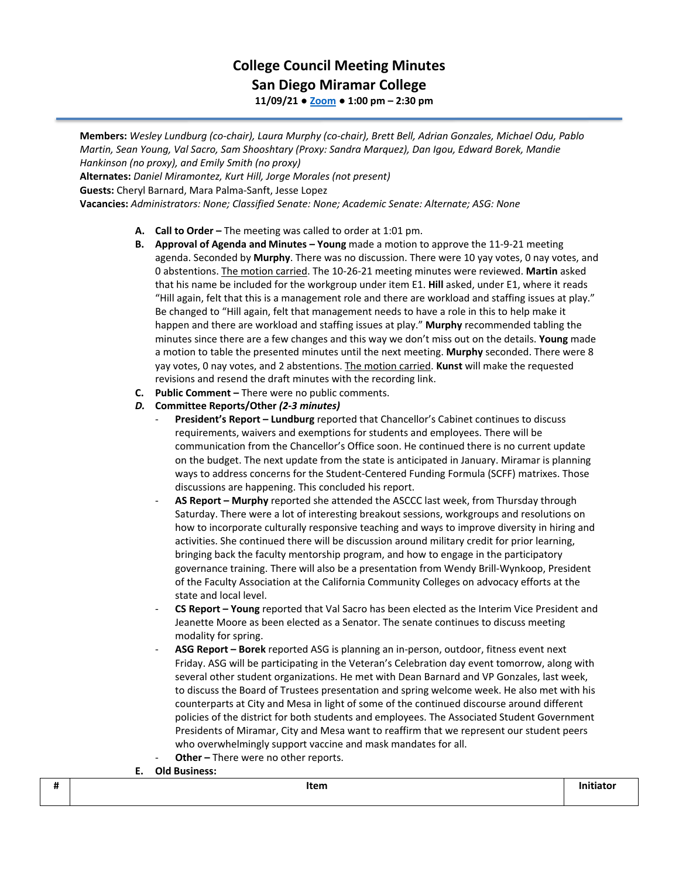## **College Council Meeting Minutes San Diego Miramar College 11/09/21 ● [Zoom](https://cccconfer.zoom.us/j/92354948089?pwd=clQvQ3pSdi84K2xTSnVLN1UyOXhpQT09) ● 1:00 pm – 2:30 pm**

**Members:** *Wesley Lundburg (co-chair), Laura Murphy (co-chair), Brett Bell, Adrian Gonzales, Michael Odu, Pablo Martin, Sean Young, Val Sacro, Sam Shooshtary (Proxy: Sandra Marquez), Dan Igou, Edward Borek, Mandie Hankinson (no proxy), and Emily Smith (no proxy)* **Alternates:** *Daniel Miramontez, Kurt Hill, Jorge Morales (not present)*

**Guests:** Cheryl Barnard, Mara Palma-Sanft, Jesse Lopez

**Vacancies:** *Administrators: None; Classified Senate: None; Academic Senate: Alternate; ASG: None*

- **A. Call to Order –** The meeting was called to order at 1:01 pm.
- **B. Approval of Agenda and Minutes – Young** made a motion to approve the 11-9-21 meeting agenda. Seconded by **Murphy**. There was no discussion. There were 10 yay votes, 0 nay votes, and 0 abstentions. The motion carried. The 10-26-21 meeting minutes were reviewed. **Martin** asked that his name be included for the workgroup under item E1. **Hill** asked, under E1, where it reads "Hill again, felt that this is a management role and there are workload and staffing issues at play." Be changed to "Hill again, felt that management needs to have a role in this to help make it happen and there are workload and staffing issues at play." **Murphy** recommended tabling the minutes since there are a few changes and this way we don't miss out on the details. **Young** made a motion to table the presented minutes until the next meeting. **Murphy** seconded. There were 8 yay votes, 0 nay votes, and 2 abstentions. The motion carried. **Kunst** will make the requested revisions and resend the draft minutes with the recording link.
- **C. Public Comment –** There were no public comments.
- *D.* **Committee Reports/Other** *(2-3 minutes)*
	- **President's Report – Lundburg** reported that Chancellor's Cabinet continues to discuss requirements, waivers and exemptions for students and employees. There will be communication from the Chancellor's Office soon. He continued there is no current update on the budget. The next update from the state is anticipated in January. Miramar is planning ways to address concerns for the Student-Centered Funding Formula (SCFF) matrixes. Those discussions are happening. This concluded his report.
	- **AS Report – Murphy** reported she attended the ASCCC last week, from Thursday through Saturday. There were a lot of interesting breakout sessions, workgroups and resolutions on how to incorporate culturally responsive teaching and ways to improve diversity in hiring and activities. She continued there will be discussion around military credit for prior learning, bringing back the faculty mentorship program, and how to engage in the participatory governance training. There will also be a presentation from Wendy Brill-Wynkoop, President of the Faculty Association at the California Community Colleges on advocacy efforts at the state and local level.
	- **CS Report – Young** reported that Val Sacro has been elected as the Interim Vice President and Jeanette Moore as been elected as a Senator. The senate continues to discuss meeting modality for spring.
	- **ASG Report – Borek** reported ASG is planning an in-person, outdoor, fitness event next Friday. ASG will be participating in the Veteran's Celebration day event tomorrow, along with several other student organizations. He met with Dean Barnard and VP Gonzales, last week, to discuss the Board of Trustees presentation and spring welcome week. He also met with his counterparts at City and Mesa in light of some of the continued discourse around different policies of the district for both students and employees. The Associated Student Government Presidents of Miramar, City and Mesa want to reaffirm that we represent our student peers who overwhelmingly support vaccine and mask mandates for all.
	- **Other** There were no other reports.
- **E. Old Business:**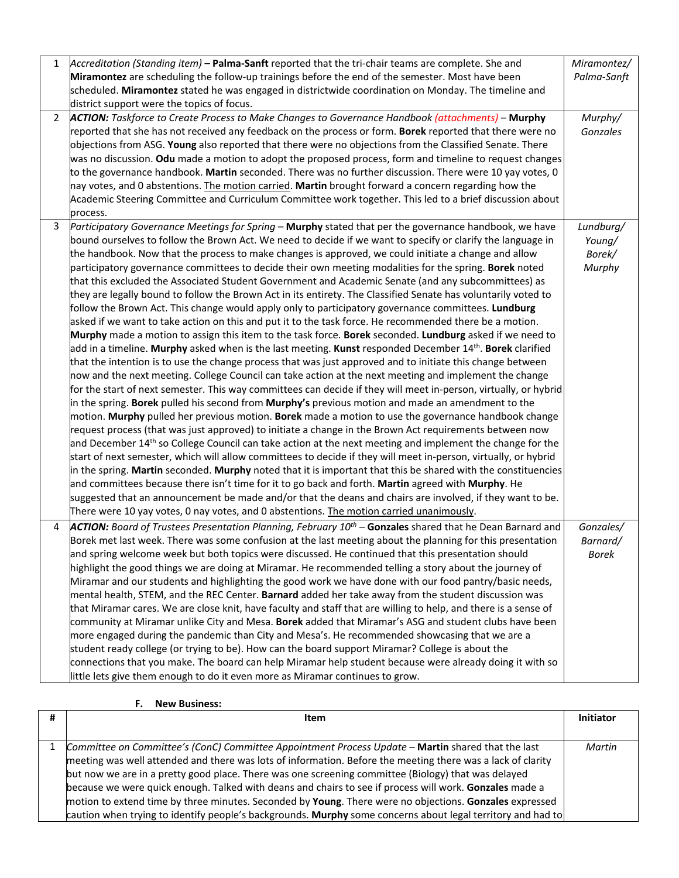| 1              | Accreditation (Standing item) - Palma-Sanft reported that the tri-chair teams are complete. She and                   | Miramontez/  |
|----------------|-----------------------------------------------------------------------------------------------------------------------|--------------|
|                | Miramontez are scheduling the follow-up trainings before the end of the semester. Most have been                      | Palma-Sanft  |
|                | scheduled. Miramontez stated he was engaged in districtwide coordination on Monday. The timeline and                  |              |
|                | district support were the topics of focus.                                                                            |              |
| $\overline{2}$ | <b>ACTION:</b> Taskforce to Create Process to Make Changes to Governance Handbook (attachments) - Murphy              | Murphy/      |
|                | reported that she has not received any feedback on the process or form. Borek reported that there were no             | Gonzales     |
|                | objections from ASG. Young also reported that there were no objections from the Classified Senate. There              |              |
|                | was no discussion. Odu made a motion to adopt the proposed process, form and timeline to request changes              |              |
|                | to the governance handbook. Martin seconded. There was no further discussion. There were 10 yay votes, 0              |              |
|                | hay votes, and 0 abstentions. The motion carried. Martin brought forward a concern regarding how the                  |              |
|                | Academic Steering Committee and Curriculum Committee work together. This led to a brief discussion about              |              |
|                | process.                                                                                                              |              |
| $\mathbf{3}$   | Participatory Governance Meetings for Spring - Murphy stated that per the governance handbook, we have                | Lundburg/    |
|                | bound ourselves to follow the Brown Act. We need to decide if we want to specify or clarify the language in           | Young/       |
|                | the handbook. Now that the process to make changes is approved, we could initiate a change and allow                  | Borek/       |
|                | participatory governance committees to decide their own meeting modalities for the spring. Borek noted                | Murphy       |
|                | that this excluded the Associated Student Government and Academic Senate (and any subcommittees) as                   |              |
|                | they are legally bound to follow the Brown Act in its entirety. The Classified Senate has voluntarily voted to        |              |
|                | follow the Brown Act. This change would apply only to participatory governance committees. Lundburg                   |              |
|                | asked if we want to take action on this and put it to the task force. He recommended there be a motion.               |              |
|                | Murphy made a motion to assign this item to the task force. Borek seconded. Lundburg asked if we need to              |              |
|                | add in a timeline. Murphy asked when is the last meeting. Kunst responded December 14 <sup>th</sup> . Borek clarified |              |
|                | that the intention is to use the change process that was just approved and to initiate this change between            |              |
|                | now and the next meeting. College Council can take action at the next meeting and implement the change                |              |
|                | for the start of next semester. This way committees can decide if they will meet in-person, virtually, or hybrid      |              |
|                | in the spring. Borek pulled his second from Murphy's previous motion and made an amendment to the                     |              |
|                | motion. Murphy pulled her previous motion. Borek made a motion to use the governance handbook change                  |              |
|                | request process (that was just approved) to initiate a change in the Brown Act requirements between now               |              |
|                | and December 14 <sup>th</sup> so College Council can take action at the next meeting and implement the change for the |              |
|                | start of next semester, which will allow committees to decide if they will meet in-person, virtually, or hybrid       |              |
|                | in the spring. Martin seconded. Murphy noted that it is important that this be shared with the constituencies         |              |
|                | and committees because there isn't time for it to go back and forth. Martin agreed with Murphy. He                    |              |
|                | suggested that an announcement be made and/or that the deans and chairs are involved, if they want to be.             |              |
|                | There were 10 yay votes, 0 nay votes, and 0 abstentions. The motion carried unanimously.                              |              |
| 4              | <b>ACTION:</b> Board of Trustees Presentation Planning, February $10^{th}$ – Gonzales shared that he Dean Barnard and | Gonzales/    |
|                | Borek met last week. There was some confusion at the last meeting about the planning for this presentation            | Barnard/     |
|                | and spring welcome week but both topics were discussed. He continued that this presentation should                    | <b>Borek</b> |
|                | highlight the good things we are doing at Miramar. He recommended telling a story about the journey of                |              |
|                | Miramar and our students and highlighting the good work we have done with our food pantry/basic needs,                |              |
|                | mental health, STEM, and the REC Center. Barnard added her take away from the student discussion was                  |              |
|                | that Miramar cares. We are close knit, have faculty and staff that are willing to help, and there is a sense of       |              |
|                | community at Miramar unlike City and Mesa. Borek added that Miramar's ASG and student clubs have been                 |              |
|                |                                                                                                                       |              |
|                | more engaged during the pandemic than City and Mesa's. He recommended showcasing that we are a                        |              |
|                | student ready college (or trying to be). How can the board support Miramar? College is about the                      |              |
|                | connections that you make. The board can help Miramar help student because were already doing it with so              |              |
|                | little lets give them enough to do it even more as Miramar continues to grow.                                         |              |

## **F. New Business:**

| Item                                                                                                        | Initiator |
|-------------------------------------------------------------------------------------------------------------|-----------|
|                                                                                                             |           |
| Committee on Committee's (ConC) Committee Appointment Process Update - Martin shared that the last          | Martin    |
| meeting was well attended and there was lots of information. Before the meeting there was a lack of clarity |           |
| but now we are in a pretty good place. There was one screening committee (Biology) that was delayed         |           |
| because we were quick enough. Talked with deans and chairs to see if process will work. Gonzales made a     |           |
| motion to extend time by three minutes. Seconded by Young. There were no objections. Gonzales expressed     |           |
| caution when trying to identify people's backgrounds. Murphy some concerns about legal territory and had to |           |